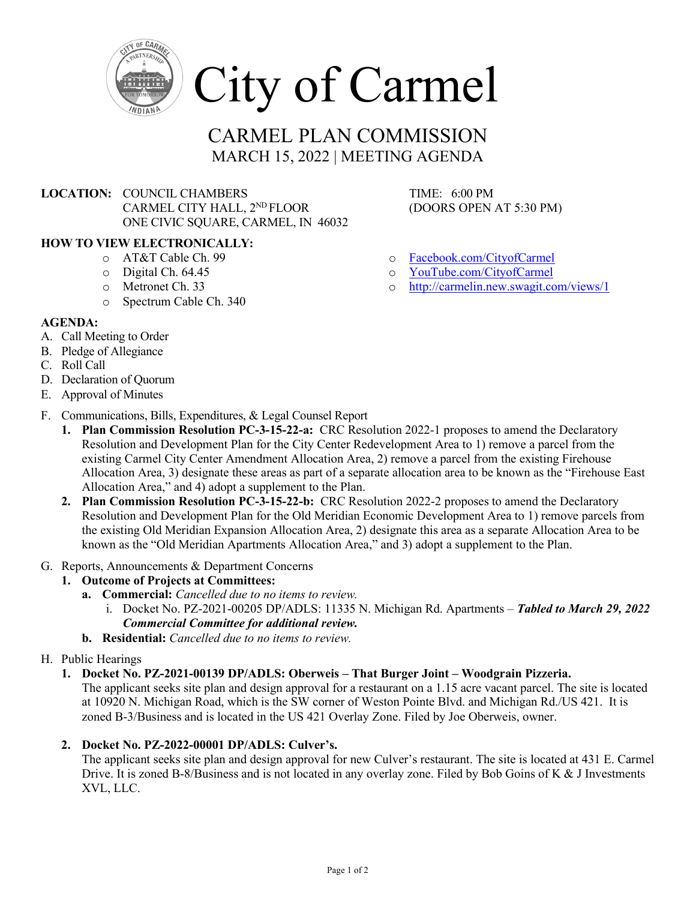

# CARMEL PLAN COMMISSION MARCH 15, 2022 | MEETING AGENDA

# **LOCATION:** COUNCIL CHAMBERS TIME: 6:00 PM CARMEL CITY HALL,  $2^{ND}$  FLOOR (DOORS OPEN AT 5:30 PM) ONE CIVIC SQUARE, CARMEL, IN 46032

### **HOW TO VIEW ELECTRONICALLY:**

- o AT&T Cable Ch. 99
- o Digital Ch. 64.45
- o Metronet Ch. 33
- o Spectrum Cable Ch. 340

#### **AGENDA:**

- A. Call Meeting to Order
- B. Pledge of Allegiance
- C. Roll Call
- D. Declaration of Quorum
- E. Approval of Minutes
- F. Communications, Bills, Expenditures, & Legal Counsel Report
	- **1. Plan Commission Resolution PC-3-15-22-a:** CRC Resolution 2022-1 proposes to amend the Declaratory Resolution and Development Plan for the City Center Redevelopment Area to 1) remove a parcel from the existing Carmel City Center Amendment Allocation Area, 2) remove a parcel from the existing Firehouse Allocation Area, 3) designate these areas as part of a separate allocation area to be known as the "Firehouse East Allocation Area," and 4) adopt a supplement to the Plan.
	- **2. Plan Commission Resolution PC-3-15-22-b:** CRC Resolution 2022-2 proposes to amend the Declaratory Resolution and Development Plan for the Old Meridian Economic Development Area to 1) remove parcels from the existing Old Meridian Expansion Allocation Area, 2) designate this area as a separate Allocation Area to be known as the "Old Meridian Apartments Allocation Area," and 3) adopt a supplement to the Plan.
- G. Reports, Announcements & Department Concerns

## **1. Outcome of Projects at Committees:**

- **a. Commercial:** *Cancelled due to no items to review.*
	- i. Docket No. PZ-2021-00205 DP/ADLS: 11335 N. Michigan Rd. Apartments *Tabled to March 29, 2022 Commercial Committee for additional review.*
- **b. Residential:** *Cancelled due to no items to review.*

#### H. Public Hearings

**1. Docket No. PZ-2021-00139 DP/ADLS: Oberweis – That Burger Joint – Woodgrain Pizzeria.**

The applicant seeks site plan and design approval for a restaurant on a 1.15 acre vacant parcel. The site is located at 10920 N. Michigan Road, which is the SW corner of Weston Pointe Blvd. and Michigan Rd./US 421. It is zoned B-3/Business and is located in the US 421 Overlay Zone. Filed by Joe Oberweis, owner.

## **2. Docket No. PZ-2022-00001 DP/ADLS: Culver's.**

The applicant seeks site plan and design approval for new Culver's restaurant. The site is located at 431 E. Carmel Drive. It is zoned B-8/Business and is not located in any overlay zone. Filed by Bob Goins of K & J Investments XVL, LLC.

- o [Facebook.com/CityofCarmel](https://www.facebook.com/CityofCarmel/)
- o [YouTube.com/CityofCarmel](https://www.youtube.com/channel/UCehYsbi2i8jGvjkmE9cSPmg)
- o <http://carmelin.new.swagit.com/views/1>